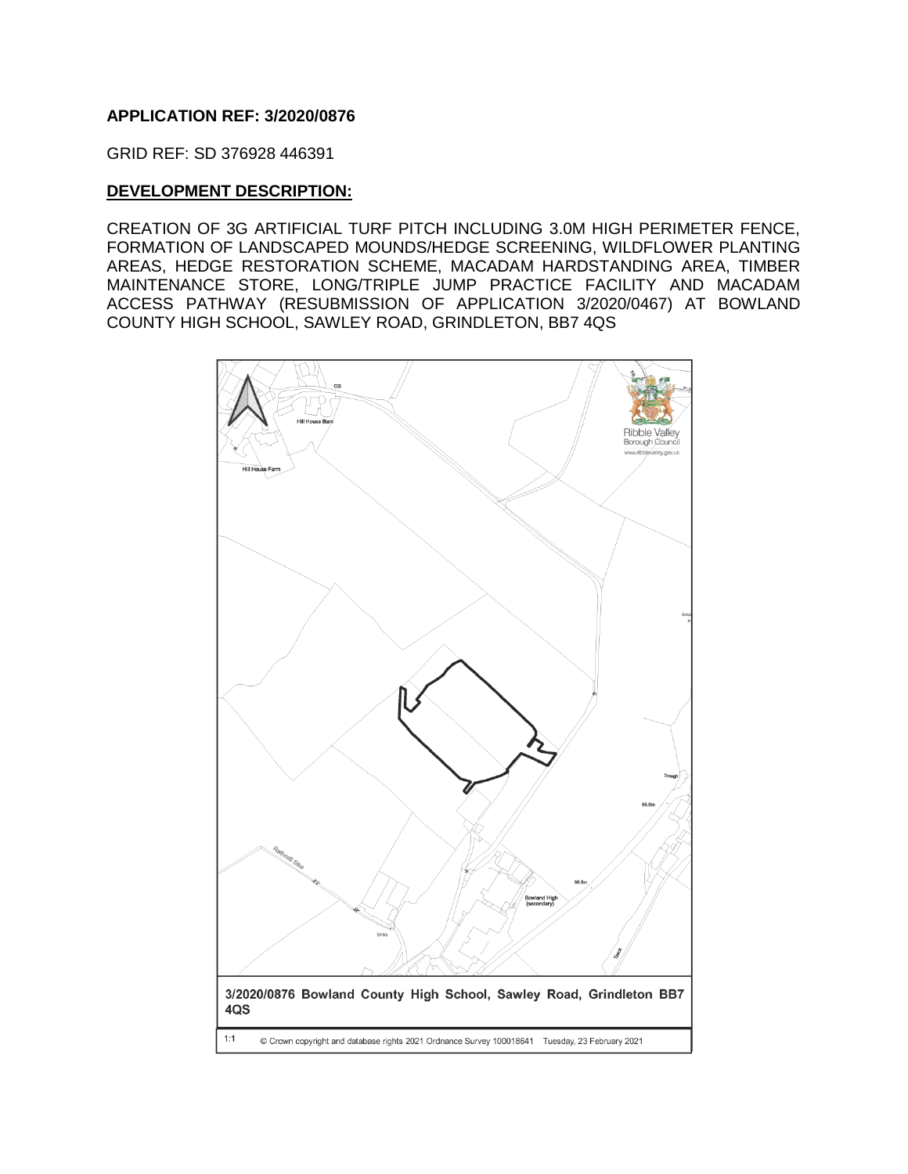### **APPLICATION REF: 3/2020/0876**

GRID REF: SD 376928 446391

#### **DEVELOPMENT DESCRIPTION:**

CREATION OF 3G ARTIFICIAL TURF PITCH INCLUDING 3.0M HIGH PERIMETER FENCE, FORMATION OF LANDSCAPED MOUNDS/HEDGE SCREENING, WILDFLOWER PLANTING AREAS, HEDGE RESTORATION SCHEME, MACADAM HARDSTANDING AREA, TIMBER MAINTENANCE STORE, LONG/TRIPLE JUMP PRACTICE FACILITY AND MACADAM ACCESS PATHWAY (RESUBMISSION OF APPLICATION 3/2020/0467) AT BOWLAND COUNTY HIGH SCHOOL, SAWLEY ROAD, GRINDLETON, BB7 4QS

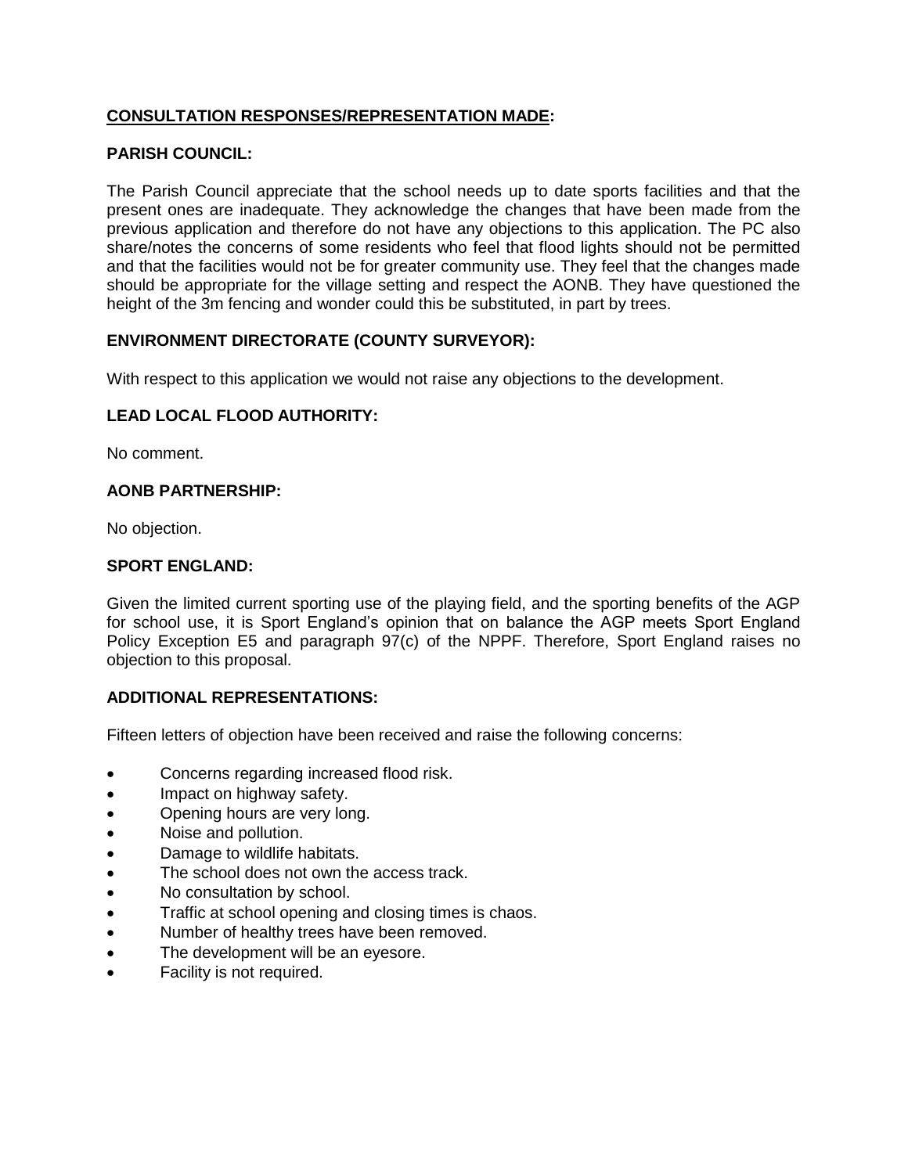# **CONSULTATION RESPONSES/REPRESENTATION MADE:**

### **PARISH COUNCIL:**

The Parish Council appreciate that the school needs up to date sports facilities and that the present ones are inadequate. They acknowledge the changes that have been made from the previous application and therefore do not have any objections to this application. The PC also share/notes the concerns of some residents who feel that flood lights should not be permitted and that the facilities would not be for greater community use. They feel that the changes made should be appropriate for the village setting and respect the AONB. They have questioned the height of the 3m fencing and wonder could this be substituted, in part by trees.

### **ENVIRONMENT DIRECTORATE (COUNTY SURVEYOR):**

With respect to this application we would not raise any objections to the development.

#### **LEAD LOCAL FLOOD AUTHORITY:**

No comment.

#### **AONB PARTNERSHIP:**

No objection.

#### **SPORT ENGLAND:**

Given the limited current sporting use of the playing field, and the sporting benefits of the AGP for school use, it is Sport England's opinion that on balance the AGP meets Sport England Policy Exception E5 and paragraph 97(c) of the NPPF. Therefore, Sport England raises no objection to this proposal.

#### **ADDITIONAL REPRESENTATIONS:**

Fifteen letters of objection have been received and raise the following concerns:

- Concerns regarding increased flood risk.
- Impact on highway safety.
- Opening hours are very long.
- Noise and pollution.
- Damage to wildlife habitats.
- The school does not own the access track.
- No consultation by school.
- Traffic at school opening and closing times is chaos.
- Number of healthy trees have been removed.
- The development will be an eyesore.
- Facility is not required.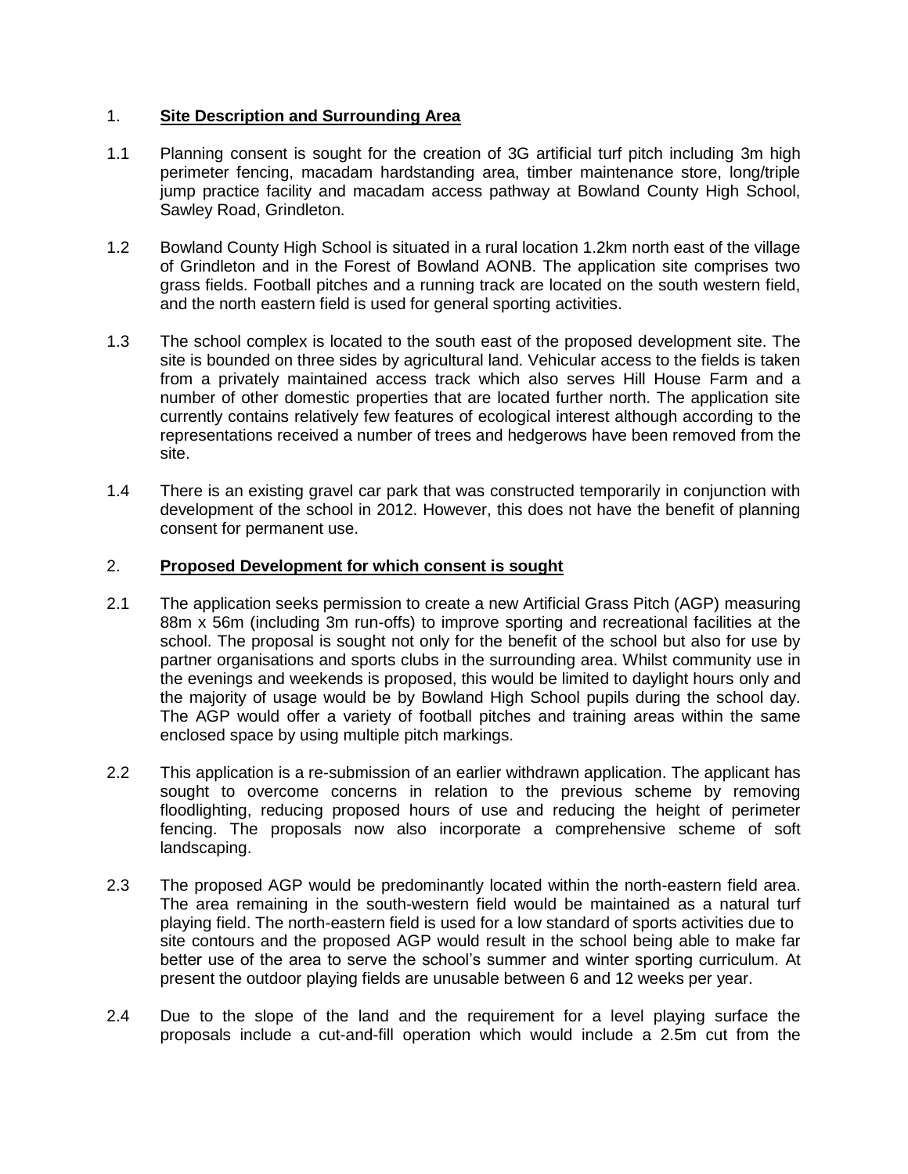# 1. **Site Description and Surrounding Area**

- 1.1 Planning consent is sought for the creation of 3G artificial turf pitch including 3m high perimeter fencing, macadam hardstanding area, timber maintenance store, long/triple jump practice facility and macadam access pathway at Bowland County High School, Sawley Road, Grindleton.
- 1.2 Bowland County High School is situated in a rural location 1.2km north east of the village of Grindleton and in the Forest of Bowland AONB. The application site comprises two grass fields. Football pitches and a running track are located on the south western field, and the north eastern field is used for general sporting activities.
- 1.3 The school complex is located to the south east of the proposed development site. The site is bounded on three sides by agricultural land. Vehicular access to the fields is taken from a privately maintained access track which also serves Hill House Farm and a number of other domestic properties that are located further north. The application site currently contains relatively few features of ecological interest although according to the representations received a number of trees and hedgerows have been removed from the site.
- 1.4 There is an existing gravel car park that was constructed temporarily in conjunction with development of the school in 2012. However, this does not have the benefit of planning consent for permanent use.

# 2. **Proposed Development for which consent is sought**

- 2.1 The application seeks permission to create a new Artificial Grass Pitch (AGP) measuring 88m x 56m (including 3m run-offs) to improve sporting and recreational facilities at the school. The proposal is sought not only for the benefit of the school but also for use by partner organisations and sports clubs in the surrounding area. Whilst community use in the evenings and weekends is proposed, this would be limited to daylight hours only and the majority of usage would be by Bowland High School pupils during the school day. The AGP would offer a variety of football pitches and training areas within the same enclosed space by using multiple pitch markings.
- 2.2 This application is a re-submission of an earlier withdrawn application. The applicant has sought to overcome concerns in relation to the previous scheme by removing floodlighting, reducing proposed hours of use and reducing the height of perimeter fencing. The proposals now also incorporate a comprehensive scheme of soft landscaping.
- 2.3 The proposed AGP would be predominantly located within the north-eastern field area. The area remaining in the south-western field would be maintained as a natural turf playing field. The north-eastern field is used for a low standard of sports activities due to site contours and the proposed AGP would result in the school being able to make far better use of the area to serve the school's summer and winter sporting curriculum. At present the outdoor playing fields are unusable between 6 and 12 weeks per year.
- 2.4 Due to the slope of the land and the requirement for a level playing surface the proposals include a cut-and-fill operation which would include a 2.5m cut from the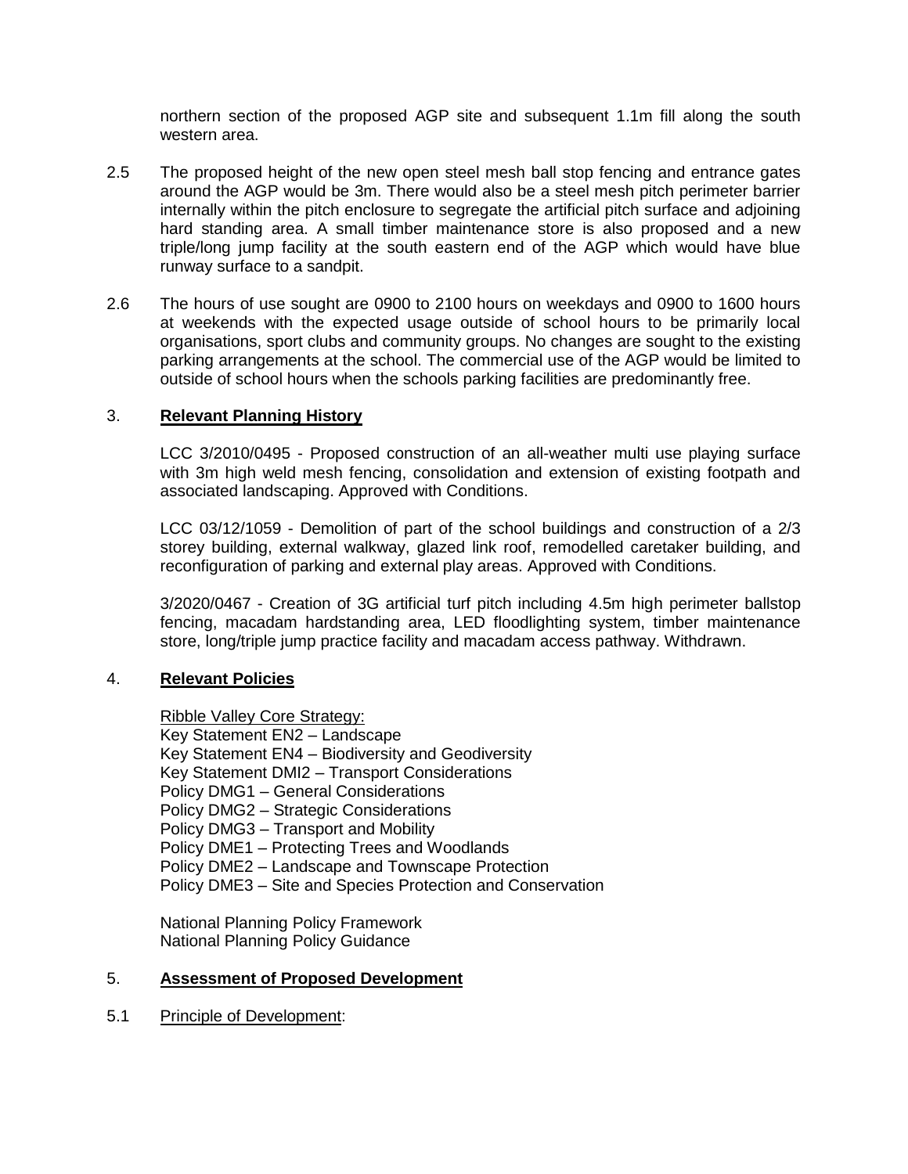northern section of the proposed AGP site and subsequent 1.1m fill along the south western area.

- 2.5 The proposed height of the new open steel mesh ball stop fencing and entrance gates around the AGP would be 3m. There would also be a steel mesh pitch perimeter barrier internally within the pitch enclosure to segregate the artificial pitch surface and adjoining hard standing area. A small timber maintenance store is also proposed and a new triple/long jump facility at the south eastern end of the AGP which would have blue runway surface to a sandpit.
- 2.6 The hours of use sought are 0900 to 2100 hours on weekdays and 0900 to 1600 hours at weekends with the expected usage outside of school hours to be primarily local organisations, sport clubs and community groups. No changes are sought to the existing parking arrangements at the school. The commercial use of the AGP would be limited to outside of school hours when the schools parking facilities are predominantly free.

#### 3. **Relevant Planning History**

LCC 3/2010/0495 - Proposed construction of an all-weather multi use playing surface with 3m high weld mesh fencing, consolidation and extension of existing footpath and associated landscaping. Approved with Conditions.

LCC 03/12/1059 - Demolition of part of the school buildings and construction of a 2/3 storey building, external walkway, glazed link roof, remodelled caretaker building, and reconfiguration of parking and external play areas. Approved with Conditions.

3/2020/0467 - Creation of 3G artificial turf pitch including 4.5m high perimeter ballstop fencing, macadam hardstanding area, LED floodlighting system, timber maintenance store, long/triple jump practice facility and macadam access pathway. Withdrawn.

#### 4. **Relevant Policies**

Ribble Valley Core Strategy:

Key Statement EN2 – Landscape Key Statement EN4 – Biodiversity and Geodiversity Key Statement DMI2 – Transport Considerations Policy DMG1 – General Considerations Policy DMG2 – Strategic Considerations Policy DMG3 – Transport and Mobility Policy DME1 – Protecting Trees and Woodlands Policy DME2 – Landscape and Townscape Protection Policy DME3 – Site and Species Protection and Conservation

National Planning Policy Framework National Planning Policy Guidance

#### 5. **Assessment of Proposed Development**

#### 5.1 Principle of Development: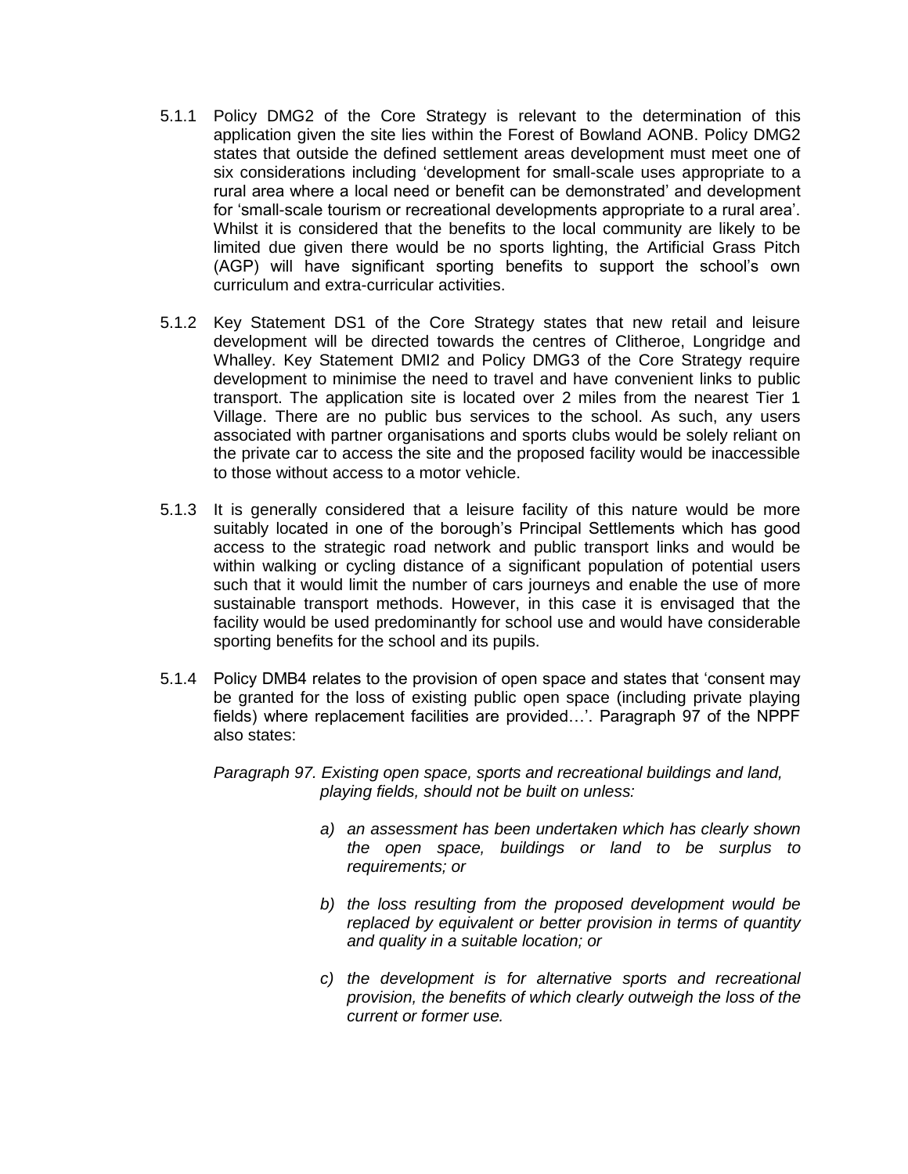- 5.1.1 Policy DMG2 of the Core Strategy is relevant to the determination of this application given the site lies within the Forest of Bowland AONB. Policy DMG2 states that outside the defined settlement areas development must meet one of six considerations including 'development for small-scale uses appropriate to a rural area where a local need or benefit can be demonstrated' and development for 'small-scale tourism or recreational developments appropriate to a rural area'. Whilst it is considered that the benefits to the local community are likely to be limited due given there would be no sports lighting, the Artificial Grass Pitch (AGP) will have significant sporting benefits to support the school's own curriculum and extra-curricular activities.
- 5.1.2 Key Statement DS1 of the Core Strategy states that new retail and leisure development will be directed towards the centres of Clitheroe, Longridge and Whalley. Key Statement DMI2 and Policy DMG3 of the Core Strategy require development to minimise the need to travel and have convenient links to public transport. The application site is located over 2 miles from the nearest Tier 1 Village. There are no public bus services to the school. As such, any users associated with partner organisations and sports clubs would be solely reliant on the private car to access the site and the proposed facility would be inaccessible to those without access to a motor vehicle.
- 5.1.3 It is generally considered that a leisure facility of this nature would be more suitably located in one of the borough's Principal Settlements which has good access to the strategic road network and public transport links and would be within walking or cycling distance of a significant population of potential users such that it would limit the number of cars journeys and enable the use of more sustainable transport methods. However, in this case it is envisaged that the facility would be used predominantly for school use and would have considerable sporting benefits for the school and its pupils.
- 5.1.4 Policy DMB4 relates to the provision of open space and states that 'consent may be granted for the loss of existing public open space (including private playing fields) where replacement facilities are provided…'. Paragraph 97 of the NPPF also states:

*Paragraph 97. Existing open space, sports and recreational buildings and land, playing fields, should not be built on unless:*

- *a) an assessment has been undertaken which has clearly shown the open space, buildings or land to be surplus to requirements; or*
- *b) the loss resulting from the proposed development would be replaced by equivalent or better provision in terms of quantity and quality in a suitable location; or*
- *c) the development is for alternative sports and recreational provision, the benefits of which clearly outweigh the loss of the current or former use.*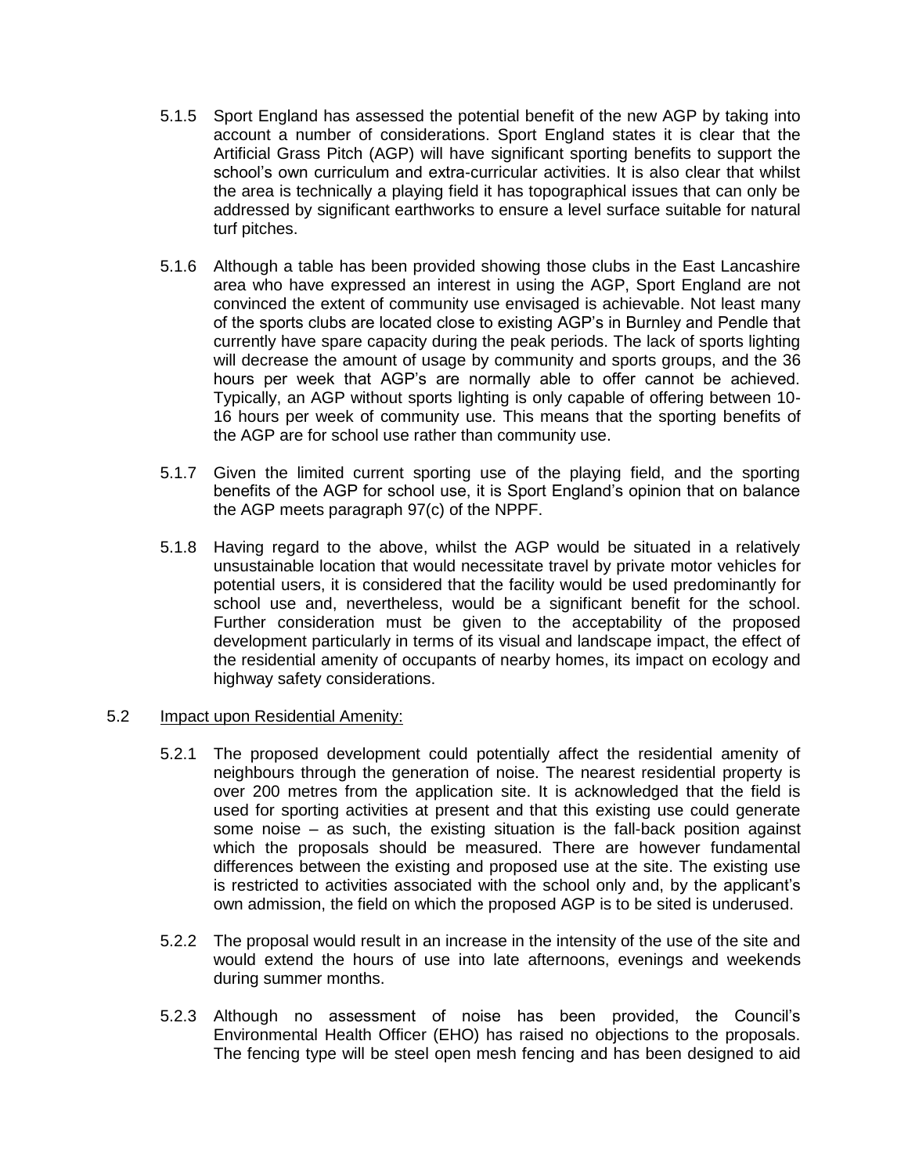- 5.1.5 Sport England has assessed the potential benefit of the new AGP by taking into account a number of considerations. Sport England states it is clear that the Artificial Grass Pitch (AGP) will have significant sporting benefits to support the school's own curriculum and extra-curricular activities. It is also clear that whilst the area is technically a playing field it has topographical issues that can only be addressed by significant earthworks to ensure a level surface suitable for natural turf pitches.
- 5.1.6 Although a table has been provided showing those clubs in the East Lancashire area who have expressed an interest in using the AGP, Sport England are not convinced the extent of community use envisaged is achievable. Not least many of the sports clubs are located close to existing AGP's in Burnley and Pendle that currently have spare capacity during the peak periods. The lack of sports lighting will decrease the amount of usage by community and sports groups, and the 36 hours per week that AGP's are normally able to offer cannot be achieved. Typically, an AGP without sports lighting is only capable of offering between 10- 16 hours per week of community use. This means that the sporting benefits of the AGP are for school use rather than community use.
- 5.1.7 Given the limited current sporting use of the playing field, and the sporting benefits of the AGP for school use, it is Sport England's opinion that on balance the AGP meets paragraph 97(c) of the NPPF.
- 5.1.8 Having regard to the above, whilst the AGP would be situated in a relatively unsustainable location that would necessitate travel by private motor vehicles for potential users, it is considered that the facility would be used predominantly for school use and, nevertheless, would be a significant benefit for the school. Further consideration must be given to the acceptability of the proposed development particularly in terms of its visual and landscape impact, the effect of the residential amenity of occupants of nearby homes, its impact on ecology and highway safety considerations.

#### 5.2 Impact upon Residential Amenity:

- 5.2.1 The proposed development could potentially affect the residential amenity of neighbours through the generation of noise. The nearest residential property is over 200 metres from the application site. It is acknowledged that the field is used for sporting activities at present and that this existing use could generate some noise – as such, the existing situation is the fall-back position against which the proposals should be measured. There are however fundamental differences between the existing and proposed use at the site. The existing use is restricted to activities associated with the school only and, by the applicant's own admission, the field on which the proposed AGP is to be sited is underused.
- 5.2.2 The proposal would result in an increase in the intensity of the use of the site and would extend the hours of use into late afternoons, evenings and weekends during summer months.
- 5.2.3 Although no assessment of noise has been provided, the Council's Environmental Health Officer (EHO) has raised no objections to the proposals. The fencing type will be steel open mesh fencing and has been designed to aid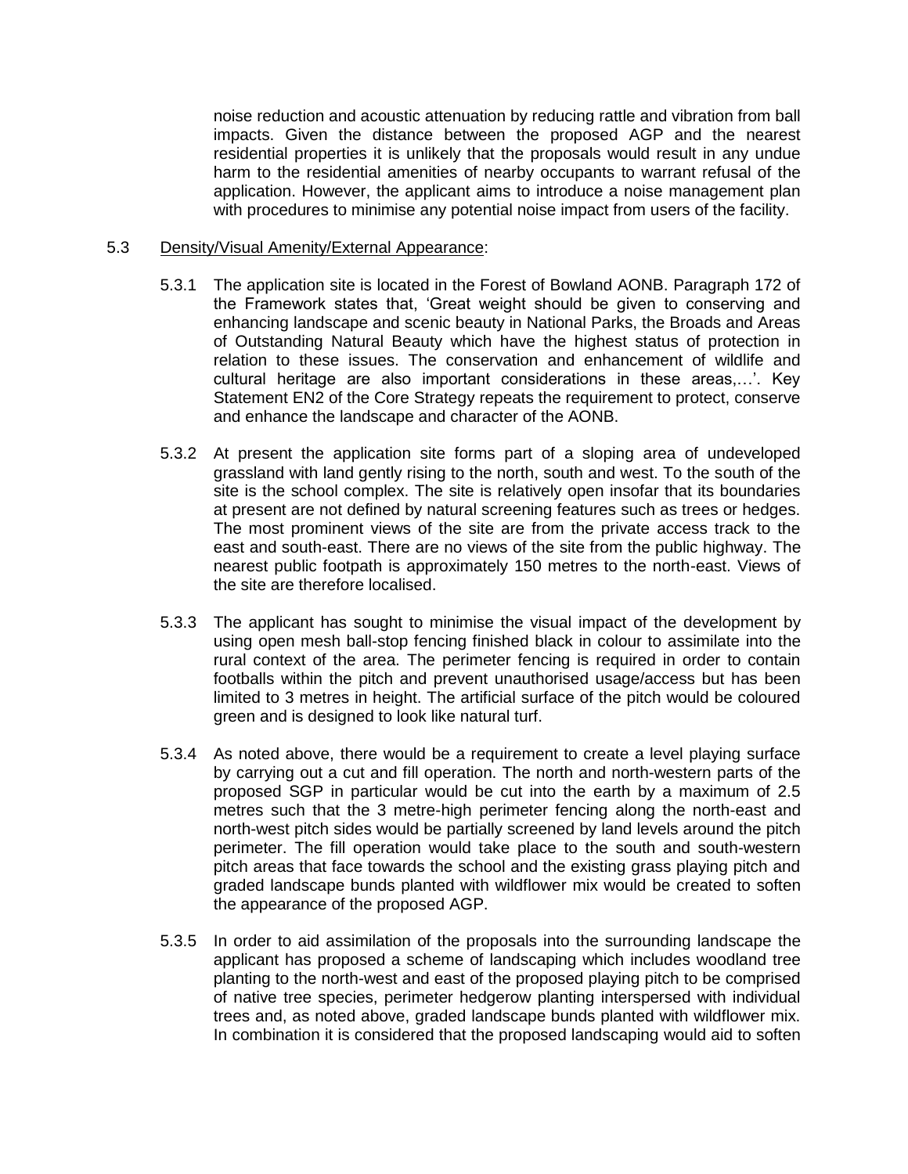noise reduction and acoustic attenuation by reducing rattle and vibration from ball impacts. Given the distance between the proposed AGP and the nearest residential properties it is unlikely that the proposals would result in any undue harm to the residential amenities of nearby occupants to warrant refusal of the application. However, the applicant aims to introduce a noise management plan with procedures to minimise any potential noise impact from users of the facility.

#### 5.3 Density/Visual Amenity/External Appearance:

- 5.3.1 The application site is located in the Forest of Bowland AONB. Paragraph 172 of the Framework states that, 'Great weight should be given to conserving and enhancing landscape and scenic beauty in National Parks, the Broads and Areas of Outstanding Natural Beauty which have the highest status of protection in relation to these issues. The conservation and enhancement of wildlife and cultural heritage are also important considerations in these areas,…'. Key Statement EN2 of the Core Strategy repeats the requirement to protect, conserve and enhance the landscape and character of the AONB.
- 5.3.2 At present the application site forms part of a sloping area of undeveloped grassland with land gently rising to the north, south and west. To the south of the site is the school complex. The site is relatively open insofar that its boundaries at present are not defined by natural screening features such as trees or hedges. The most prominent views of the site are from the private access track to the east and south-east. There are no views of the site from the public highway. The nearest public footpath is approximately 150 metres to the north-east. Views of the site are therefore localised.
- 5.3.3 The applicant has sought to minimise the visual impact of the development by using open mesh ball-stop fencing finished black in colour to assimilate into the rural context of the area. The perimeter fencing is required in order to contain footballs within the pitch and prevent unauthorised usage/access but has been limited to 3 metres in height. The artificial surface of the pitch would be coloured green and is designed to look like natural turf.
- 5.3.4 As noted above, there would be a requirement to create a level playing surface by carrying out a cut and fill operation. The north and north-western parts of the proposed SGP in particular would be cut into the earth by a maximum of 2.5 metres such that the 3 metre-high perimeter fencing along the north-east and north-west pitch sides would be partially screened by land levels around the pitch perimeter. The fill operation would take place to the south and south-western pitch areas that face towards the school and the existing grass playing pitch and graded landscape bunds planted with wildflower mix would be created to soften the appearance of the proposed AGP.
- 5.3.5 In order to aid assimilation of the proposals into the surrounding landscape the applicant has proposed a scheme of landscaping which includes woodland tree planting to the north-west and east of the proposed playing pitch to be comprised of native tree species, perimeter hedgerow planting interspersed with individual trees and, as noted above, graded landscape bunds planted with wildflower mix. In combination it is considered that the proposed landscaping would aid to soften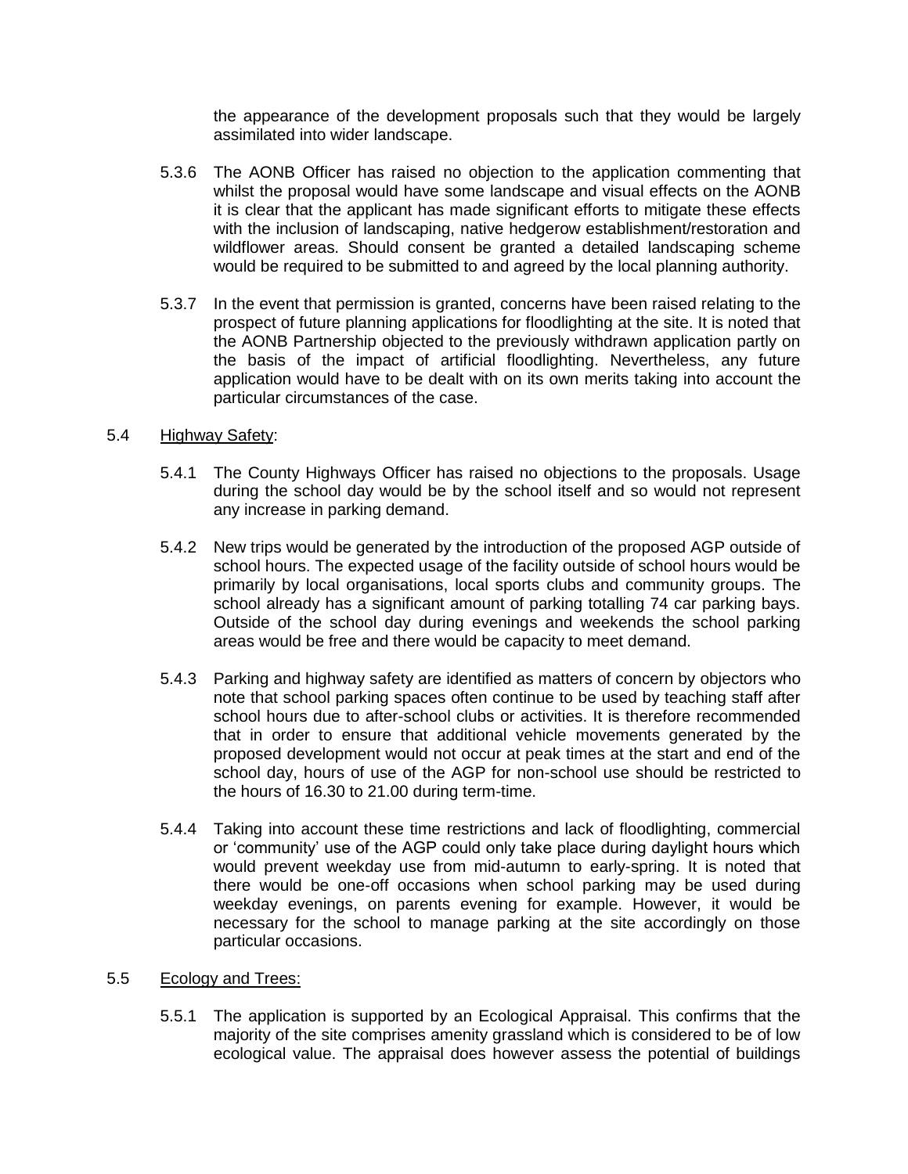the appearance of the development proposals such that they would be largely assimilated into wider landscape.

- 5.3.6 The AONB Officer has raised no objection to the application commenting that whilst the proposal would have some landscape and visual effects on the AONB it is clear that the applicant has made significant efforts to mitigate these effects with the inclusion of landscaping, native hedgerow establishment/restoration and wildflower areas. Should consent be granted a detailed landscaping scheme would be required to be submitted to and agreed by the local planning authority.
- 5.3.7 In the event that permission is granted, concerns have been raised relating to the prospect of future planning applications for floodlighting at the site. It is noted that the AONB Partnership objected to the previously withdrawn application partly on the basis of the impact of artificial floodlighting. Nevertheless, any future application would have to be dealt with on its own merits taking into account the particular circumstances of the case.

### 5.4 Highway Safety:

- 5.4.1 The County Highways Officer has raised no objections to the proposals. Usage during the school day would be by the school itself and so would not represent any increase in parking demand.
- 5.4.2 New trips would be generated by the introduction of the proposed AGP outside of school hours. The expected usage of the facility outside of school hours would be primarily by local organisations, local sports clubs and community groups. The school already has a significant amount of parking totalling 74 car parking bays. Outside of the school day during evenings and weekends the school parking areas would be free and there would be capacity to meet demand.
- 5.4.3 Parking and highway safety are identified as matters of concern by objectors who note that school parking spaces often continue to be used by teaching staff after school hours due to after-school clubs or activities. It is therefore recommended that in order to ensure that additional vehicle movements generated by the proposed development would not occur at peak times at the start and end of the school day, hours of use of the AGP for non-school use should be restricted to the hours of 16.30 to 21.00 during term-time.
- 5.4.4 Taking into account these time restrictions and lack of floodlighting, commercial or 'community' use of the AGP could only take place during daylight hours which would prevent weekday use from mid-autumn to early-spring. It is noted that there would be one-off occasions when school parking may be used during weekday evenings, on parents evening for example. However, it would be necessary for the school to manage parking at the site accordingly on those particular occasions.

#### 5.5 Ecology and Trees:

5.5.1 The application is supported by an Ecological Appraisal. This confirms that the majority of the site comprises amenity grassland which is considered to be of low ecological value. The appraisal does however assess the potential of buildings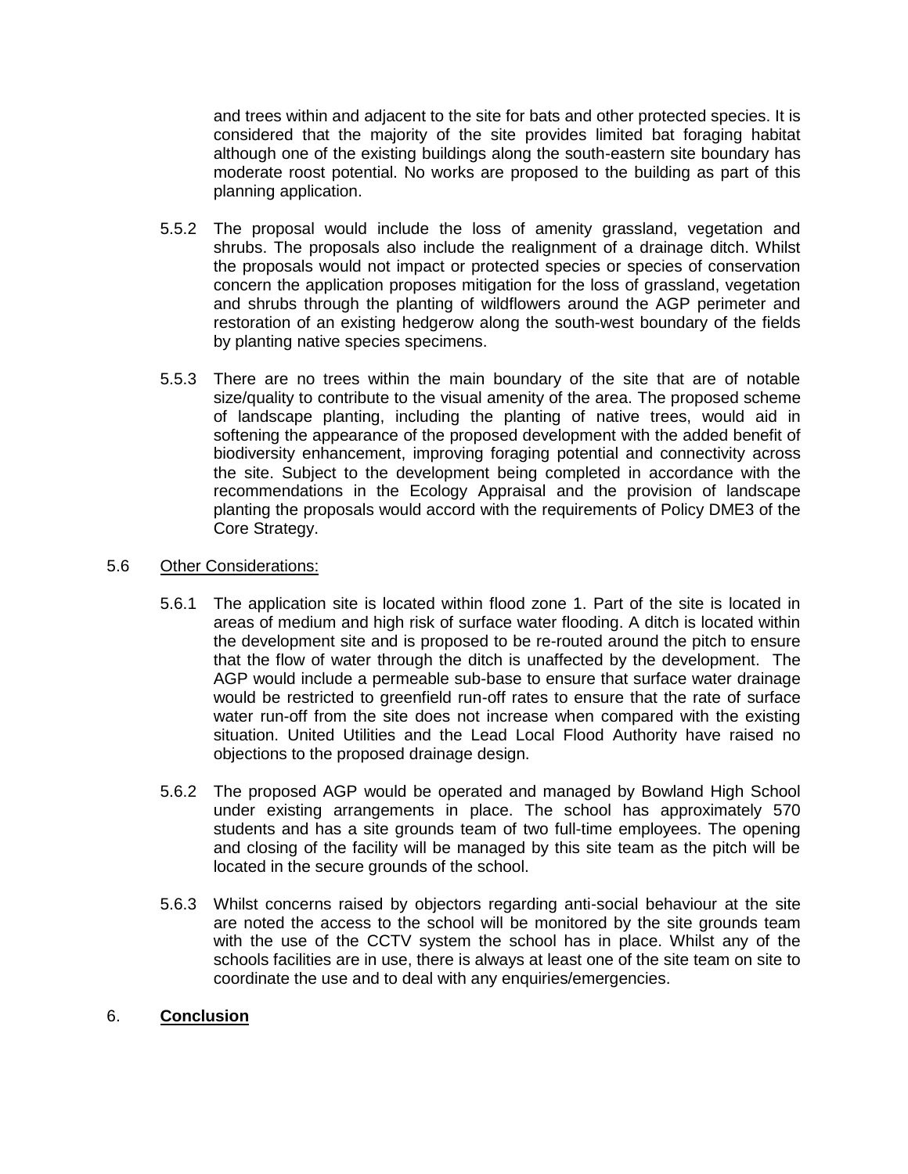and trees within and adjacent to the site for bats and other protected species. It is considered that the majority of the site provides limited bat foraging habitat although one of the existing buildings along the south-eastern site boundary has moderate roost potential. No works are proposed to the building as part of this planning application.

- 5.5.2 The proposal would include the loss of amenity grassland, vegetation and shrubs. The proposals also include the realignment of a drainage ditch. Whilst the proposals would not impact or protected species or species of conservation concern the application proposes mitigation for the loss of grassland, vegetation and shrubs through the planting of wildflowers around the AGP perimeter and restoration of an existing hedgerow along the south-west boundary of the fields by planting native species specimens.
- 5.5.3 There are no trees within the main boundary of the site that are of notable size/quality to contribute to the visual amenity of the area. The proposed scheme of landscape planting, including the planting of native trees, would aid in softening the appearance of the proposed development with the added benefit of biodiversity enhancement, improving foraging potential and connectivity across the site. Subject to the development being completed in accordance with the recommendations in the Ecology Appraisal and the provision of landscape planting the proposals would accord with the requirements of Policy DME3 of the Core Strategy.

# 5.6 Other Considerations:

- 5.6.1 The application site is located within flood zone 1. Part of the site is located in areas of medium and high risk of surface water flooding. A ditch is located within the development site and is proposed to be re-routed around the pitch to ensure that the flow of water through the ditch is unaffected by the development. The AGP would include a permeable sub-base to ensure that surface water drainage would be restricted to greenfield run-off rates to ensure that the rate of surface water run-off from the site does not increase when compared with the existing situation. United Utilities and the Lead Local Flood Authority have raised no objections to the proposed drainage design.
- 5.6.2 The proposed AGP would be operated and managed by Bowland High School under existing arrangements in place. The school has approximately 570 students and has a site grounds team of two full-time employees. The opening and closing of the facility will be managed by this site team as the pitch will be located in the secure grounds of the school.
- 5.6.3 Whilst concerns raised by objectors regarding anti-social behaviour at the site are noted the access to the school will be monitored by the site grounds team with the use of the CCTV system the school has in place. Whilst any of the schools facilities are in use, there is always at least one of the site team on site to coordinate the use and to deal with any enquiries/emergencies.

# 6. **Conclusion**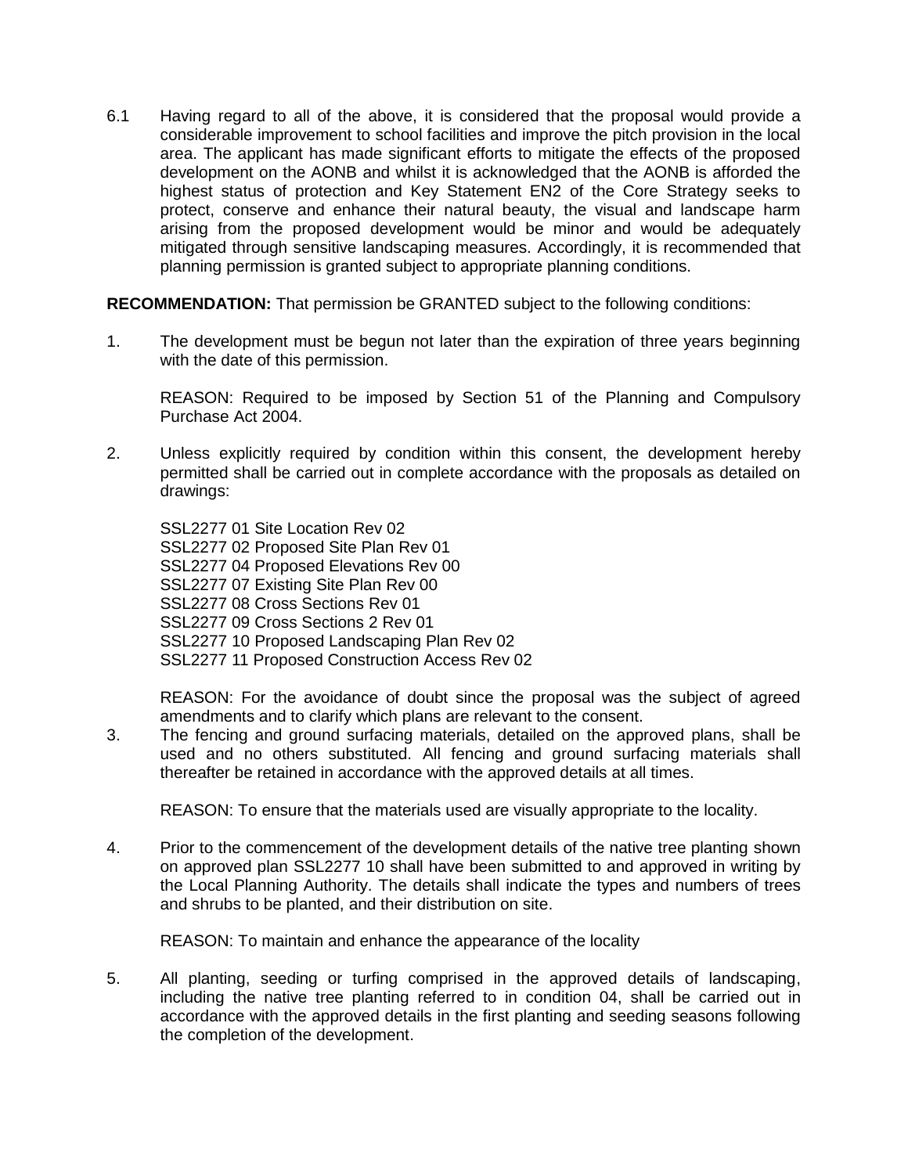6.1 Having regard to all of the above, it is considered that the proposal would provide a considerable improvement to school facilities and improve the pitch provision in the local area. The applicant has made significant efforts to mitigate the effects of the proposed development on the AONB and whilst it is acknowledged that the AONB is afforded the highest status of protection and Key Statement EN2 of the Core Strategy seeks to protect, conserve and enhance their natural beauty, the visual and landscape harm arising from the proposed development would be minor and would be adequately mitigated through sensitive landscaping measures. Accordingly, it is recommended that planning permission is granted subject to appropriate planning conditions.

**RECOMMENDATION:** That permission be GRANTED subject to the following conditions:

1. The development must be begun not later than the expiration of three years beginning with the date of this permission.

REASON: Required to be imposed by Section 51 of the Planning and Compulsory Purchase Act 2004.

2. Unless explicitly required by condition within this consent, the development hereby permitted shall be carried out in complete accordance with the proposals as detailed on drawings:

SSL2277 01 Site Location Rev 02 SSL2277 02 Proposed Site Plan Rev 01 SSL2277 04 Proposed Elevations Rev 00 SSL2277 07 Existing Site Plan Rev 00 SSL2277 08 Cross Sections Rev 01 SSL2277 09 Cross Sections 2 Rev 01 SSL2277 10 Proposed Landscaping Plan Rev 02 SSL2277 11 Proposed Construction Access Rev 02

REASON: For the avoidance of doubt since the proposal was the subject of agreed amendments and to clarify which plans are relevant to the consent.

3. The fencing and ground surfacing materials, detailed on the approved plans, shall be used and no others substituted. All fencing and ground surfacing materials shall thereafter be retained in accordance with the approved details at all times.

REASON: To ensure that the materials used are visually appropriate to the locality.

4. Prior to the commencement of the development details of the native tree planting shown on approved plan SSL2277 10 shall have been submitted to and approved in writing by the Local Planning Authority. The details shall indicate the types and numbers of trees and shrubs to be planted, and their distribution on site.

REASON: To maintain and enhance the appearance of the locality

5. All planting, seeding or turfing comprised in the approved details of landscaping, including the native tree planting referred to in condition 04, shall be carried out in accordance with the approved details in the first planting and seeding seasons following the completion of the development.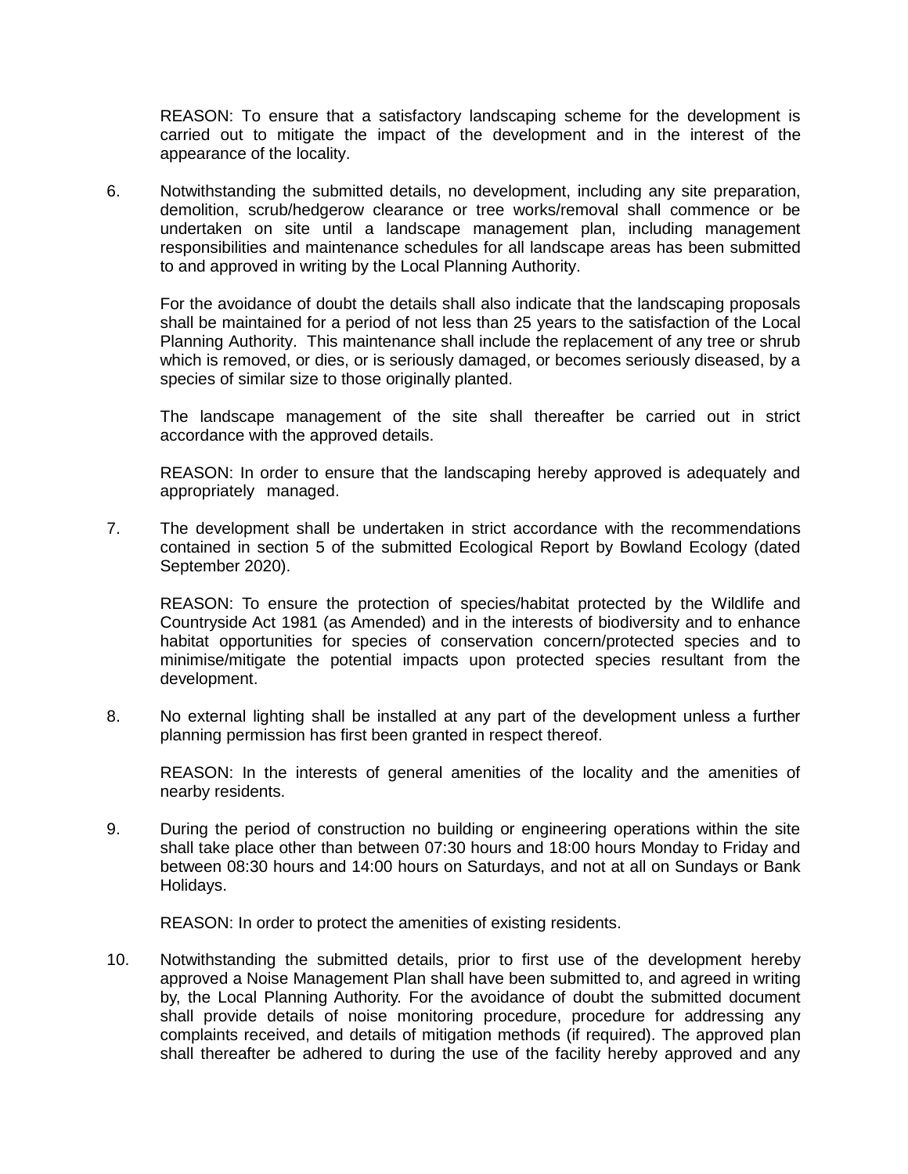REASON: To ensure that a satisfactory landscaping scheme for the development is carried out to mitigate the impact of the development and in the interest of the appearance of the locality.

6. Notwithstanding the submitted details, no development, including any site preparation, demolition, scrub/hedgerow clearance or tree works/removal shall commence or be undertaken on site until a landscape management plan, including management responsibilities and maintenance schedules for all landscape areas has been submitted to and approved in writing by the Local Planning Authority.

For the avoidance of doubt the details shall also indicate that the landscaping proposals shall be maintained for a period of not less than 25 years to the satisfaction of the Local Planning Authority. This maintenance shall include the replacement of any tree or shrub which is removed, or dies, or is seriously damaged, or becomes seriously diseased, by a species of similar size to those originally planted.

The landscape management of the site shall thereafter be carried out in strict accordance with the approved details.

REASON: In order to ensure that the landscaping hereby approved is adequately and appropriately managed.

7. The development shall be undertaken in strict accordance with the recommendations contained in section 5 of the submitted Ecological Report by Bowland Ecology (dated September 2020).

REASON: To ensure the protection of species/habitat protected by the Wildlife and Countryside Act 1981 (as Amended) and in the interests of biodiversity and to enhance habitat opportunities for species of conservation concern/protected species and to minimise/mitigate the potential impacts upon protected species resultant from the development.

8. No external lighting shall be installed at any part of the development unless a further planning permission has first been granted in respect thereof.

REASON: In the interests of general amenities of the locality and the amenities of nearby residents.

9. During the period of construction no building or engineering operations within the site shall take place other than between 07:30 hours and 18:00 hours Monday to Friday and between 08:30 hours and 14:00 hours on Saturdays, and not at all on Sundays or Bank Holidays.

REASON: In order to protect the amenities of existing residents.

10. Notwithstanding the submitted details, prior to first use of the development hereby approved a Noise Management Plan shall have been submitted to, and agreed in writing by, the Local Planning Authority. For the avoidance of doubt the submitted document shall provide details of noise monitoring procedure, procedure for addressing any complaints received, and details of mitigation methods (if required). The approved plan shall thereafter be adhered to during the use of the facility hereby approved and any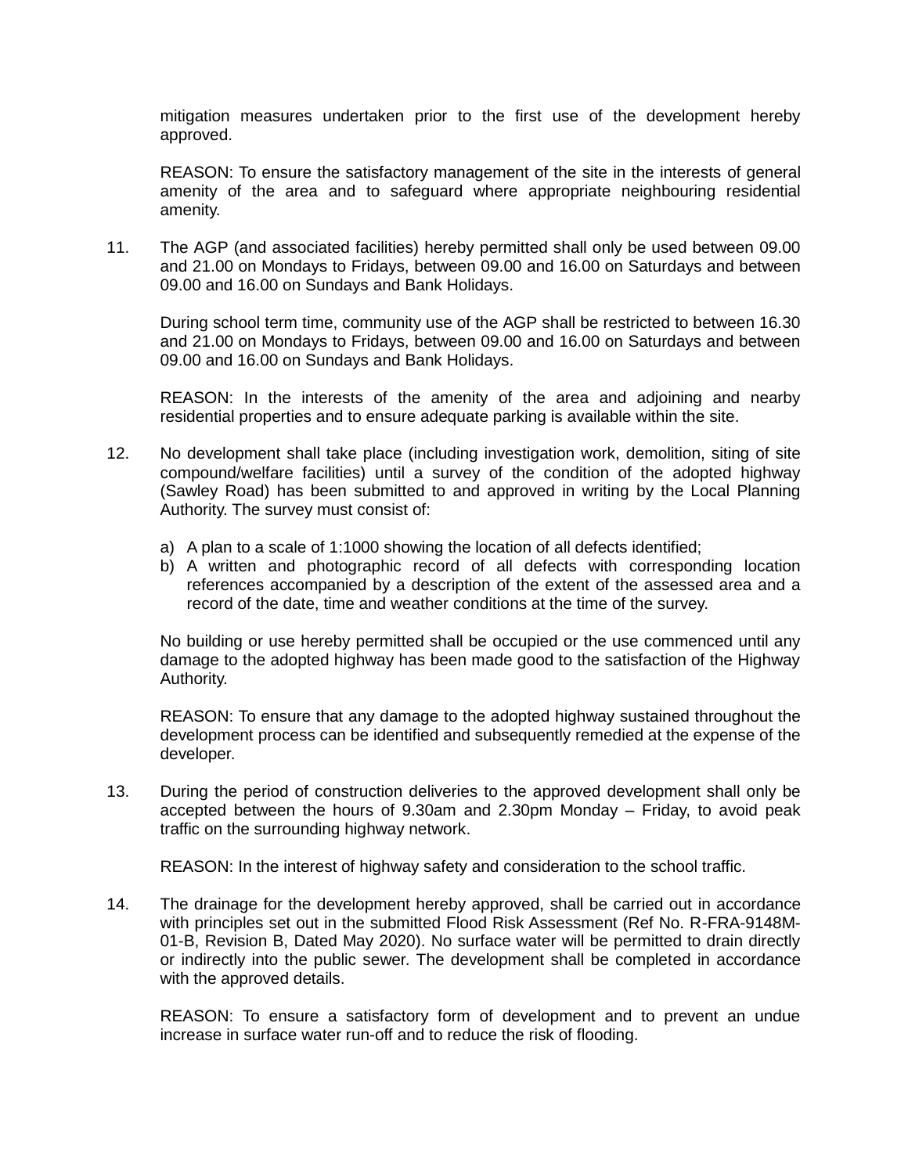mitigation measures undertaken prior to the first use of the development hereby approved.

REASON: To ensure the satisfactory management of the site in the interests of general amenity of the area and to safeguard where appropriate neighbouring residential amenity.

11. The AGP (and associated facilities) hereby permitted shall only be used between 09.00 and 21.00 on Mondays to Fridays, between 09.00 and 16.00 on Saturdays and between 09.00 and 16.00 on Sundays and Bank Holidays.

During school term time, community use of the AGP shall be restricted to between 16.30 and 21.00 on Mondays to Fridays, between 09.00 and 16.00 on Saturdays and between 09.00 and 16.00 on Sundays and Bank Holidays.

REASON: In the interests of the amenity of the area and adjoining and nearby residential properties and to ensure adequate parking is available within the site.

- 12. No development shall take place (including investigation work, demolition, siting of site compound/welfare facilities) until a survey of the condition of the adopted highway (Sawley Road) has been submitted to and approved in writing by the Local Planning Authority. The survey must consist of:
	- a) A plan to a scale of 1:1000 showing the location of all defects identified;
	- b) A written and photographic record of all defects with corresponding location references accompanied by a description of the extent of the assessed area and a record of the date, time and weather conditions at the time of the survey.

No building or use hereby permitted shall be occupied or the use commenced until any damage to the adopted highway has been made good to the satisfaction of the Highway Authority.

REASON: To ensure that any damage to the adopted highway sustained throughout the development process can be identified and subsequently remedied at the expense of the developer.

13. During the period of construction deliveries to the approved development shall only be accepted between the hours of 9.30am and 2.30pm Monday – Friday, to avoid peak traffic on the surrounding highway network.

REASON: In the interest of highway safety and consideration to the school traffic.

14. The drainage for the development hereby approved, shall be carried out in accordance with principles set out in the submitted Flood Risk Assessment (Ref No. R-FRA-9148M-01-B, Revision B, Dated May 2020). No surface water will be permitted to drain directly or indirectly into the public sewer. The development shall be completed in accordance with the approved details.

REASON: To ensure a satisfactory form of development and to prevent an undue increase in surface water run-off and to reduce the risk of flooding.